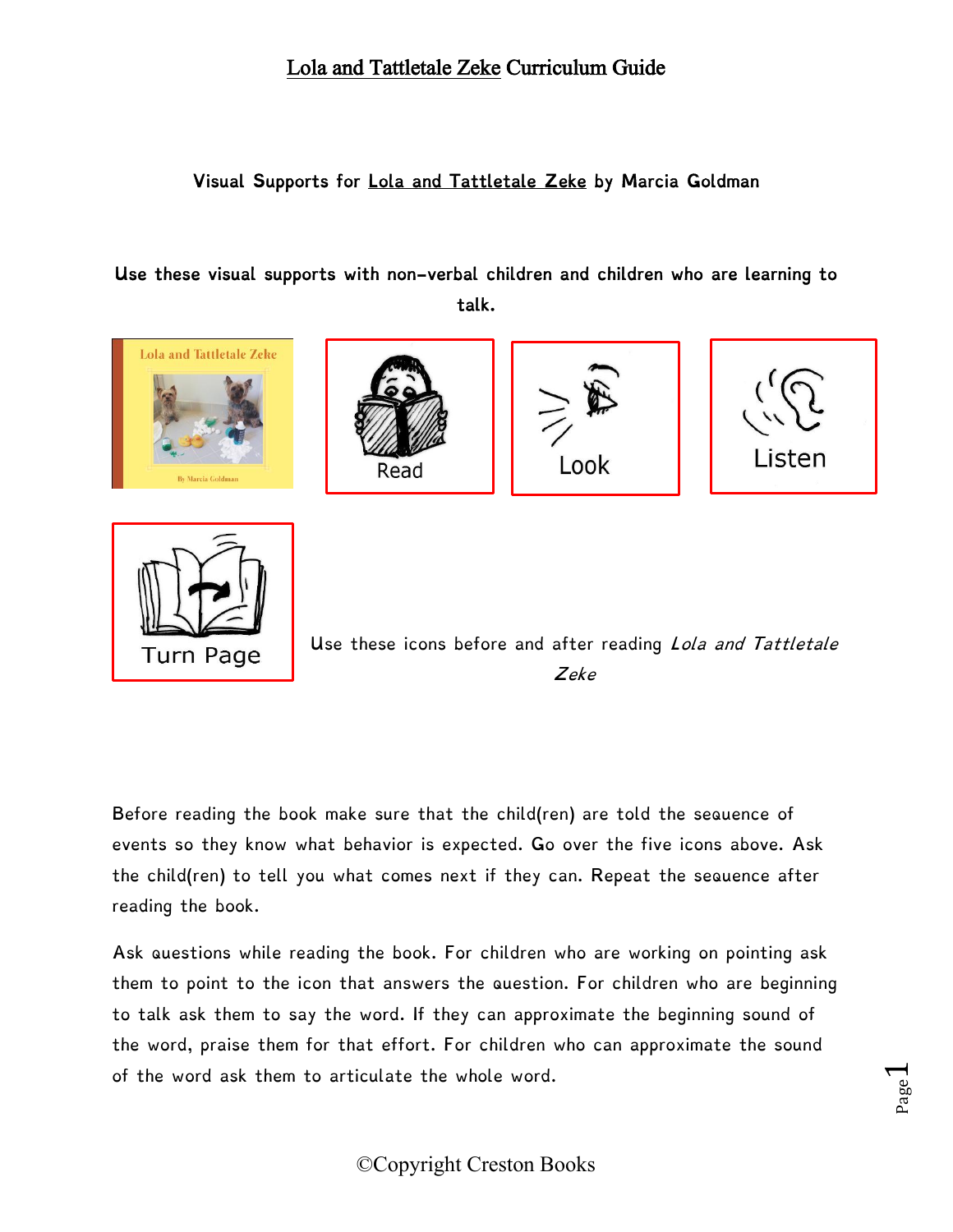#### Lola and Tattletale Zeke Curriculum Guide

#### Visual Supports for Lola and Tattletale Zeke by Marcia Goldman

#### Use these visual supports with non-verbal children and children who are learning to talk.









Page  $\overline{\phantom{0}}$ 



Use these icons before and after reading *Lola and Tattletale* Zeke

Before reading the book make sure that the child(ren) are told the sequence of events so they know what behavior is expected. Go over the five icons above. Ask the child(ren) to tell you what comes next if they can. Repeat the sequence after reading the book.

Ask questions while reading the book. For children who are working on pointing ask them to point to the icon that answers the question. For children who are beginning to talk ask them to say the word. If they can approximate the beginning sound of the word, praise them for that effort. For children who can approximate the sound of the word ask them to articulate the whole word.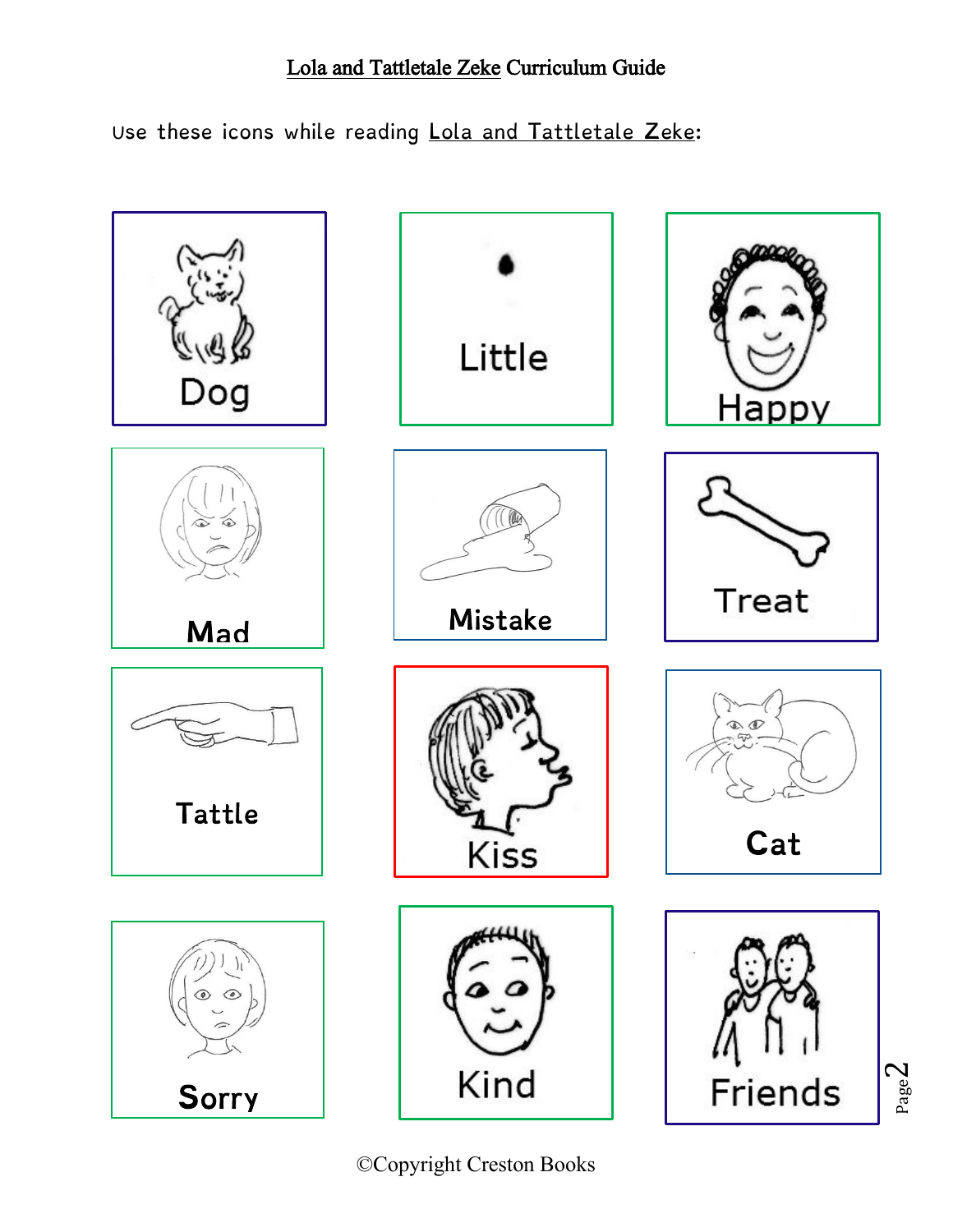# Lola and Tattletale Zeke Curriculum Guide

Use these icons while reading Lola and Tattletale Zeke:



©Copyright Creston Books